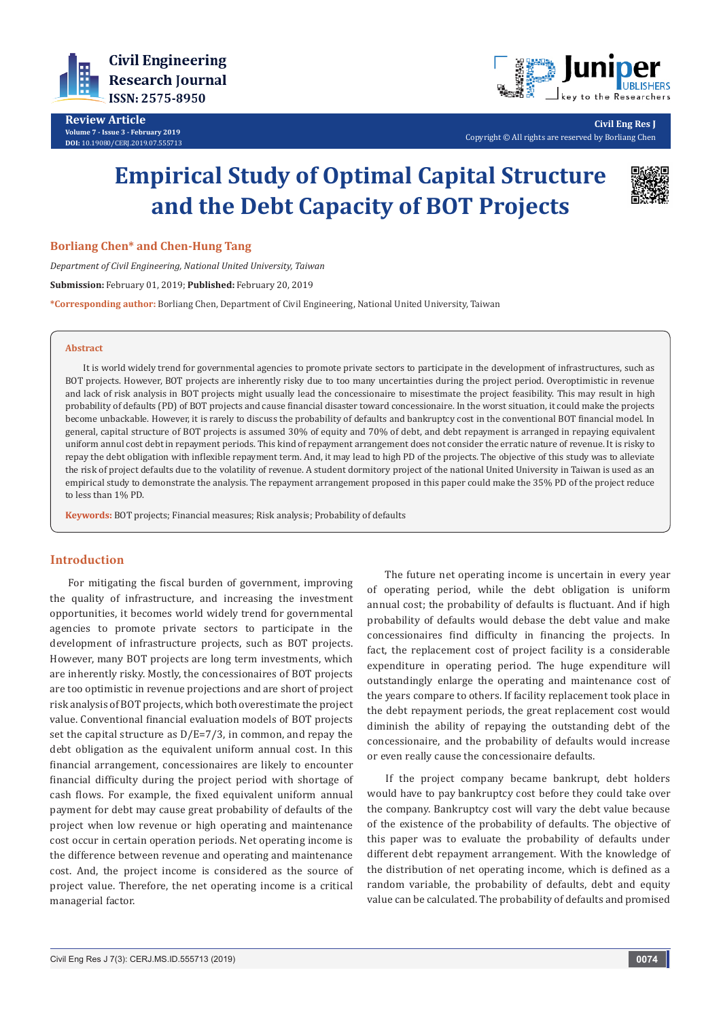

**Review Article Volume 7 - Issue 3 - February 2019 DOI:** [10.19080/CERJ.2019.07.555713](http://dx.doi.org/10.19080/CERJ.2019.07.555713)



**Civil Eng Res J** Copyright © All rights are reserved by Borliang Chen

# **Empirical Study of Optimal Capital Structure and the Debt Capacity of BOT Projects**



**Borliang Chen\* and Chen-Hung Tang**

*Department of Civil Engineering, National United University, Taiwan* **Submission:** February 01, 2019; **Published:** February 20, 2019 **\*Corresponding author:** Borliang Chen, Department of Civil Engineering, National United University, Taiwan

#### **Abstract**

It is world widely trend for governmental agencies to promote private sectors to participate in the development of infrastructures, such as BOT projects. However, BOT projects are inherently risky due to too many uncertainties during the project period. Overoptimistic in revenue and lack of risk analysis in BOT projects might usually lead the concessionaire to misestimate the project feasibility. This may result in high probability of defaults (PD) of BOT projects and cause financial disaster toward concessionaire. In the worst situation, it could make the projects become unbackable. However, it is rarely to discuss the probability of defaults and bankruptcy cost in the conventional BOT financial model. In general, capital structure of BOT projects is assumed 30% of equity and 70% of debt, and debt repayment is arranged in repaying equivalent uniform annul cost debt in repayment periods. This kind of repayment arrangement does not consider the erratic nature of revenue. It is risky to repay the debt obligation with inflexible repayment term. And, it may lead to high PD of the projects. The objective of this study was to alleviate the risk of project defaults due to the volatility of revenue. A student dormitory project of the national United University in Taiwan is used as an empirical study to demonstrate the analysis. The repayment arrangement proposed in this paper could make the 35% PD of the project reduce to less than 1% PD.

**Keywords:** BOT projects; Financial measures; Risk analysis; Probability of defaults

# **Introduction**

For mitigating the fiscal burden of government, improving the quality of infrastructure, and increasing the investment opportunities, it becomes world widely trend for governmental agencies to promote private sectors to participate in the development of infrastructure projects, such as BOT projects. However, many BOT projects are long term investments, which are inherently risky. Mostly, the concessionaires of BOT projects are too optimistic in revenue projections and are short of project risk analysis of BOT projects, which both overestimate the project value. Conventional financial evaluation models of BOT projects set the capital structure as  $D/E=7/3$ , in common, and repay the debt obligation as the equivalent uniform annual cost. In this financial arrangement, concessionaires are likely to encounter financial difficulty during the project period with shortage of cash flows. For example, the fixed equivalent uniform annual payment for debt may cause great probability of defaults of the project when low revenue or high operating and maintenance cost occur in certain operation periods. Net operating income is the difference between revenue and operating and maintenance cost. And, the project income is considered as the source of project value. Therefore, the net operating income is a critical managerial factor.

 The future net operating income is uncertain in every year of operating period, while the debt obligation is uniform annual cost; the probability of defaults is fluctuant. And if high probability of defaults would debase the debt value and make concessionaires find difficulty in financing the projects. In fact, the replacement cost of project facility is a considerable expenditure in operating period. The huge expenditure will outstandingly enlarge the operating and maintenance cost of the years compare to others. If facility replacement took place in the debt repayment periods, the great replacement cost would diminish the ability of repaying the outstanding debt of the concessionaire, and the probability of defaults would increase or even really cause the concessionaire defaults.

If the project company became bankrupt, debt holders would have to pay bankruptcy cost before they could take over the company. Bankruptcy cost will vary the debt value because of the existence of the probability of defaults. The objective of this paper was to evaluate the probability of defaults under different debt repayment arrangement. With the knowledge of the distribution of net operating income, which is defined as a random variable, the probability of defaults, debt and equity value can be calculated. The probability of defaults and promised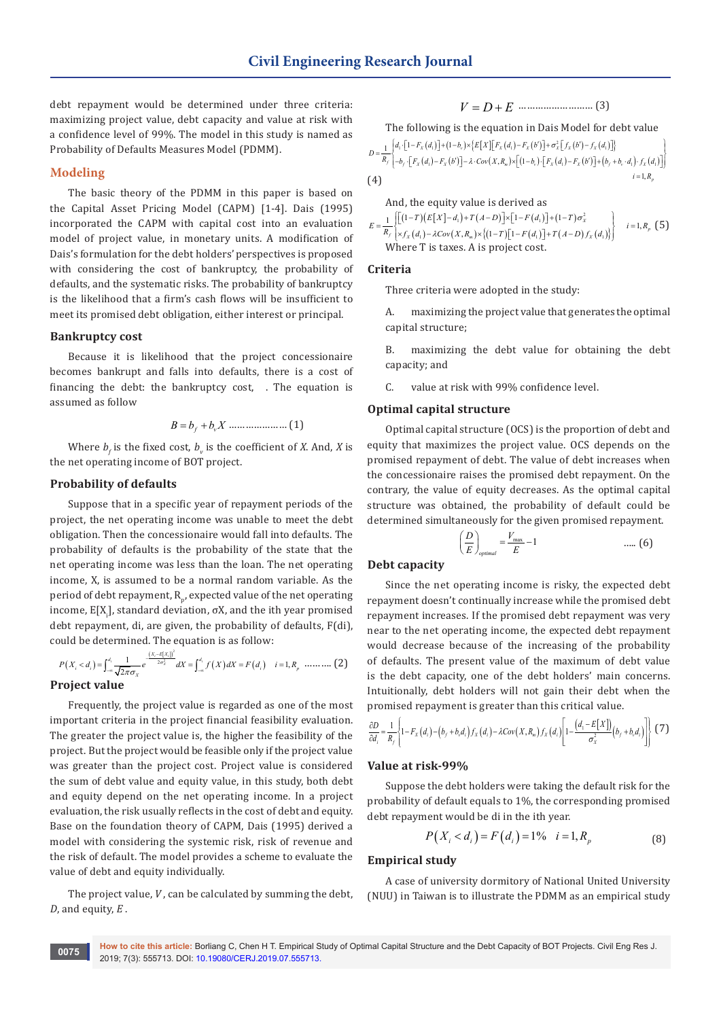debt repayment would be determined under three criteria: maximizing project value, debt capacity and value at risk with a confidence level of 99%. The model in this study is named as Probability of Defaults Measures Model (PDMM).

### **Modeling**

The basic theory of the PDMM in this paper is based on the Capital Asset Pricing Model (CAPM) [1-4]. Dais (1995) incorporated the CAPM with capital cost into an evaluation model of project value, in monetary units. A modification of Dais's formulation for the debt holders' perspectives is proposed with considering the cost of bankruptcy, the probability of defaults, and the systematic risks. The probability of bankruptcy is the likelihood that a firm's cash flows will be insufficient to meet its promised debt obligation, either interest or principal.

## **Bankruptcy cost**

Because it is likelihood that the project concessionaire becomes bankrupt and falls into defaults, there is a cost of financing the debt: the bankruptcy cost, . The equation is assumed as follow

*B b bX* = +*f v* ………………… (1)

Where  $b_f$  is the fixed cost,  $b_v$  is the coefficient of *X*. And, *X* is the net operating income of BOT project.

#### **Probability of defaults**

Suppose that in a specific year of repayment periods of the project, the net operating income was unable to meet the debt obligation. Then the concessionaire would fall into defaults. The probability of defaults is the probability of the state that the net operating income was less than the loan. The net operating income, X, is assumed to be a normal random variable. As the period of debt repayment, R<sub>p</sub>, expected value of the net operating income, E[X<sub>i</sub>], standard deviation,  $\sigma$ X, and the ith year promised debt repayment, di, are given, the probability of defaults, F(di), could be determined. The equation is as follow:

$$
P(X_i < d_i) = \int_{-\infty}^{d_i} \frac{1}{\sqrt{2\pi}\sigma_X} e^{-\frac{(X_i - E[X_i])^2}{2\sigma_X^2}} dX = \int_{-\infty}^{d_i} f(X) dX = F(d_i) \quad i = 1, R_p \quad \dots \dots \dots \tag{2}
$$
\n**Project value**

Frequently, the project value is regarded as one of the most important criteria in the project financial feasibility evaluation. The greater the project value is, the higher the feasibility of the project. But the project would be feasible only if the project value was greater than the project cost. Project value is considered the sum of debt value and equity value, in this study, both debt and equity depend on the net operating income. In a project evaluation, the risk usually reflects in the cost of debt and equity. Base on the foundation theory of CAPM, Dais (1995) derived a model with considering the systemic risk, risk of revenue and the risk of default. The model provides a scheme to evaluate the value of debt and equity individually.

The project value, *V* , can be calculated by summing the debt, *D*, and equity, *E* .

$$
V = D + E
$$

The following is the equation in Dais Model for debt value

$$
D = \frac{1}{R_f} \begin{bmatrix} d_1 \cdot [1 - F_x(d_1)] + (1 - b_1) \times [E[X][F_x(d_1) - F_x(b')] + \sigma_x^2 [f_x(b') - f_x(d_1)] \end{bmatrix}
$$
  
(4)  
(4)  

$$
= 1, R_p
$$

And, the equity value is derived as

$$
E = \frac{1}{R_f} \left[ \frac{[(1-T)(E[X] - d_1) + T(A - D)] \times [1 - F(d_1)] + (1 - T) \sigma_x^2}{\times f_x(d_1) - \lambda Cov(X, R_m) \times \{(1 - T)[1 - F(d_1)] + T(A - D)f_x(d_1)\}} \right] \quad i = 1, R_p \text{ (5)}
$$
\nWhere T is taxes. A is project cost.

## **Criteria**

Three criteria were adopted in the study:

A. maximizing the project value that generates the optimal capital structure;

B. maximizing the debt value for obtaining the debt capacity; and

C. value at risk with 99% confidence level.

#### **Optimal capital structure**

Optimal capital structure (OCS) is the proportion of debt and equity that maximizes the project value. OCS depends on the promised repayment of debt. The value of debt increases when the concessionaire raises the promised debt repayment. On the contrary, the value of equity decreases. As the optimal capital structure was obtained, the probability of default could be determined simultaneously for the given promised repayment.

$$
\left(\frac{D}{E}\right)_{optimal} = \frac{V_{\text{max}}}{E} - 1 \qquad \qquad \dots (6)
$$

## **Debt capacity**

Since the net operating income is risky, the expected debt repayment doesn't continually increase while the promised debt repayment increases. If the promised debt repayment was very near to the net operating income, the expected debt repayment would decrease because of the increasing of the probability of defaults. The present value of the maximum of debt value is the debt capacity, one of the debt holders' main concerns. Intuitionally, debt holders will not gain their debt when the promised repayment is greater than this critical value.

$$
\frac{\partial D}{\partial d_i} = \frac{1}{R_f} \left\{ 1 - F_X\left(d_i\right) - \left(b_f + b_s d_i\right) f_X\left(d_i\right) - \lambda Cov\left(X, R_m\right) f_X\left(d_i\right) \left[1 - \frac{\left(d_i - E[X]\right)}{\sigma_X^2} \left(b_f + b_s d_i\right) \right] \right\}
$$
(7)

## **Value at risk-99%**

Suppose the debt holders were taking the default risk for the probability of default equals to 1%, the corresponding promised debt repayment would be di in the ith year.

$$
P(X_i < d_i) = F(d_i) = 1\% \quad i = 1, R_p \tag{8}
$$

### **Empirical study**

A case of university dormitory of National United University (NUU) in Taiwan is to illustrate the PDMM as an empirical study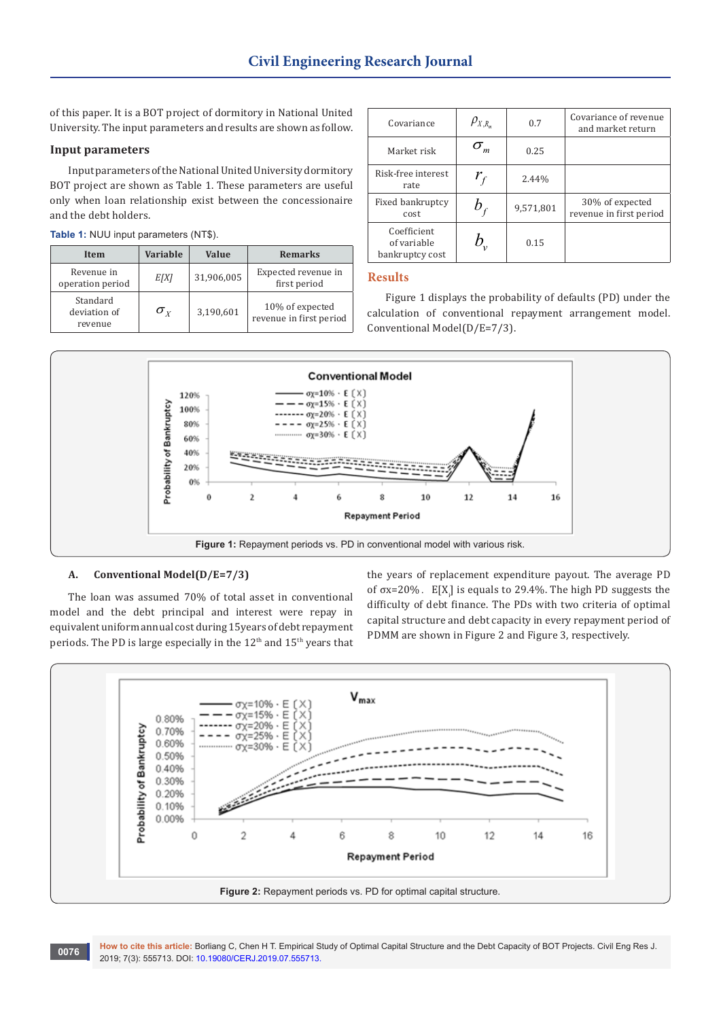of this paper. It is a BOT project of dormitory in National United University. The input parameters and results are shown as follow.

## **Input parameters**

Input parameters of the National United University dormitory BOT project are shown as Table 1. These parameters are useful only when loan relationship exist between the concessionaire and the debt holders.

|  |  |  |  |  | Table 1: NUU input parameters (NT\$). |  |  |
|--|--|--|--|--|---------------------------------------|--|--|
|--|--|--|--|--|---------------------------------------|--|--|

| Item                                | <b>Variable</b>  | Value      | <b>Remarks</b>                             |
|-------------------------------------|------------------|------------|--------------------------------------------|
| Revenue in<br>operation period      | E[X]             | 31,906,005 | Expected revenue in<br>first period        |
| Standard<br>deviation of<br>revenue | $\sigma_{\rm v}$ | 3,190,601  | 10% of expected<br>revenue in first period |

| Covariance                                    | $\rho_{_{X,R_{m}}}$        | 0.7       | Covariance of revenue<br>and market return |
|-----------------------------------------------|----------------------------|-----------|--------------------------------------------|
| Market risk                                   |                            | 0.25      |                                            |
| Risk-free interest<br>rate                    | $r_{\scriptscriptstyle f}$ | 2.44%     |                                            |
| Fixed bankruptcy<br>cost                      |                            | 9,571,801 | 30% of expected<br>revenue in first period |
| Coefficient<br>of variable<br>bankruptcy cost |                            | 0.15      |                                            |

## **Results**

Figure 1 displays the probability of defaults (PD) under the calculation of conventional repayment arrangement model. Conventional Model(D/E=7/3).



## **A. Conventional Model(D/E=7/3)**

The loan was assumed 70% of total asset in conventional model and the debt principal and interest were repay in equivalent uniform annual cost during 15years of debt repayment periods. The PD is large especially in the 12<sup>th</sup> and 15<sup>th</sup> years that the years of replacement expenditure payout. The average PD of  $\sigma$ x=20%. E[X<sub>i</sub>] is equals to 29.4%. The high PD suggests the difficulty of debt finance. The PDs with two criteria of optimal capital structure and debt capacity in every repayment period of PDMM are shown in Figure 2 and Figure 3, respectively.

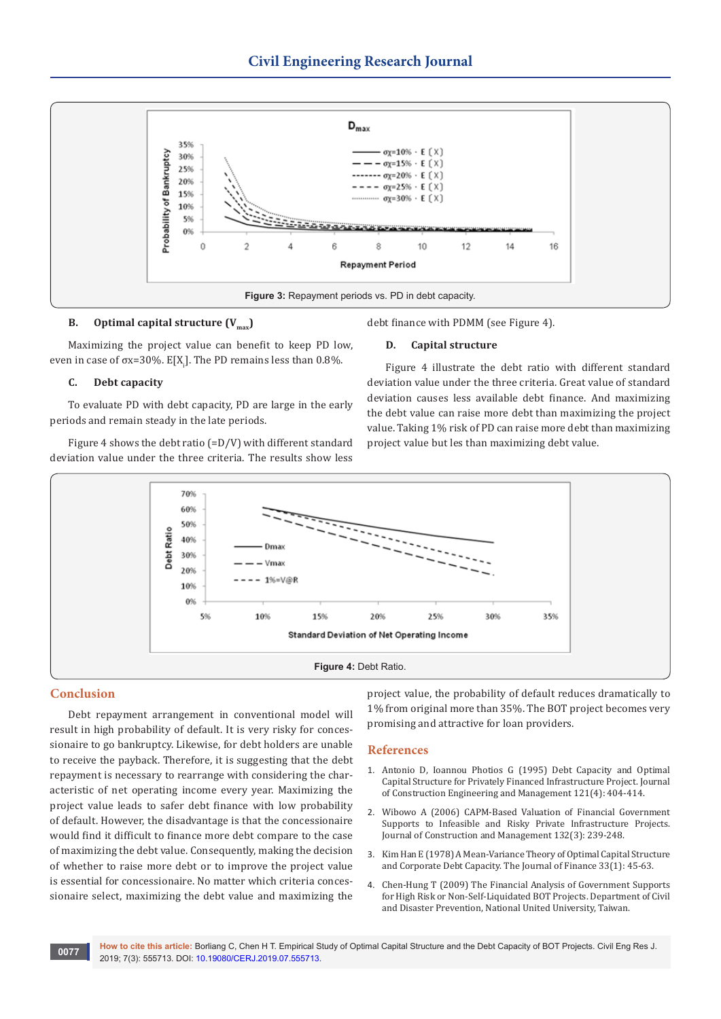

## **B. Optimal capital structure**  $(V_{\text{max}})$

Maximizing the project value can benefit to keep PD low, even in case of  $\sigma$ x=30%. E[X<sub>i</sub>]. The PD remains less than 0.8%.

#### **C. Debt capacity**

To evaluate PD with debt capacity, PD are large in the early periods and remain steady in the late periods.

Figure 4 shows the debt ratio (=D/V) with different standard deviation value under the three criteria. The results show less debt finance with PDMM (see Figure 4).

#### **D. Capital structure**

Figure 4 illustrate the debt ratio with different standard deviation value under the three criteria. Great value of standard deviation causes less available debt finance. And maximizing the debt value can raise more debt than maximizing the project value. Taking 1% risk of PD can raise more debt than maximizing project value but les than maximizing debt value.



#### **Conclusion**

Debt repayment arrangement in conventional model will result in high probability of default. It is very risky for concessionaire to go bankruptcy. Likewise, for debt holders are unable to receive the payback. Therefore, it is suggesting that the debt repayment is necessary to rearrange with considering the characteristic of net operating income every year. Maximizing the project value leads to safer debt finance with low probability of default. However, the disadvantage is that the concessionaire would find it difficult to finance more debt compare to the case of maximizing the debt value. Consequently, making the decision of whether to raise more debt or to improve the project value is essential for concessionaire. No matter which criteria concessionaire select, maximizing the debt value and maximizing the project value, the probability of default reduces dramatically to 1% from original more than 35%. The BOT project becomes very promising and attractive for loan providers.

#### **References**

- 1. [Antonio D, Ioannou Photios G \(1995\) Debt Capacity and Optimal](http://www.cem.umich.edu/ioannou/Pubs/CEM95_NoG/PGI_CEM95_NoG.pdf)  [Capital Structure for Privately Financed Infrastructure Project. Journal](http://www.cem.umich.edu/ioannou/Pubs/CEM95_NoG/PGI_CEM95_NoG.pdf)  [of Construction Engineering and Management 121\(4\): 404-414.](http://www.cem.umich.edu/ioannou/Pubs/CEM95_NoG/PGI_CEM95_NoG.pdf)
- 2. [Wibowo A \(2006\) CAPM-Based Valuation of Financial Government](https://ascelibrary.org/doi/10.1061/%28ASCE%290733-9364%282006%29132%3A3%28239%29)  [Supports to Infeasible and Risky Private Infrastructure Projects.](https://ascelibrary.org/doi/10.1061/%28ASCE%290733-9364%282006%29132%3A3%28239%29)  [Journal of Construction and Management 132\(3\): 239-248.](https://ascelibrary.org/doi/10.1061/%28ASCE%290733-9364%282006%29132%3A3%28239%29)
- 3. [Kim Han E \(1978\) A Mean-Variance Theory of Optimal Capital Structure](https://onlinelibrary.wiley.com/doi/abs/10.1111/j.1540-6261.1978.tb03388.x)  [and Corporate Debt Capacity. The Journal of Finance 33\(1\): 45-63.](https://onlinelibrary.wiley.com/doi/abs/10.1111/j.1540-6261.1978.tb03388.x)
- 4. Chen-Hung T (2009) The Financial Analysis of Government Supports for High Risk or Non-Self-Liquidated BOT Projects. Department of Civil and Disaster Prevention, National United University, Taiwan.